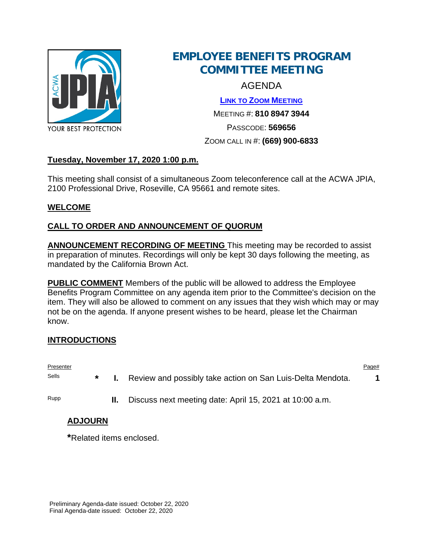

# **EMPLOYEE BENEFITS PROGRAM COMMITTEE MEETING**

AGENDA

**[LINK TO ZOOM MEETING](https://us02web.zoom.us/j/81089473944?pwd=bWMrSGhZOFc3b2kwTlY2TUdWcHVNZz09)** MEETING #: **810 8947 3944**

PASSCODE: **569656**

### ZOOM CALL IN #: **(669) 900-6833**

## **Tuesday, November 17, 2020 1:00 p.m.**

This meeting shall consist of a simultaneous Zoom teleconference call at the ACWA JPIA, 2100 Professional Drive, Roseville, CA 95661 and remote sites.

## **WELCOME**

## **CALL TO ORDER AND ANNOUNCEMENT OF QUORUM**

**ANNOUNCEMENT RECORDING OF MEETING** This meeting may be recorded to assist in preparation of minutes. Recordings will only be kept 30 days following the meeting, as mandated by the California Brown Act.

**PUBLIC COMMENT** Members of the public will be allowed to address the Employee Benefits Program Committee on any agenda item prior to the Committee's decision on the item. They will also be allowed to comment on any issues that they wish which may or may not be on the agenda. If anyone present wishes to be heard, please let the Chairman know.

#### **INTRODUCTIONS**

Presenter Presenter Page that the experiment of the experiment of the experiment of the experiment of the experiment of the experiment of the experiment of the experiment of the experiment of the experiment of the experime Sells **\* I.** Review and possibly take action on San Luis-Delta Mendota. **1** Rupp **II.** Discuss next meeting date: April 15, 2021 at 10:00 a.m.

## **ADJOURN**

**\***Related items enclosed.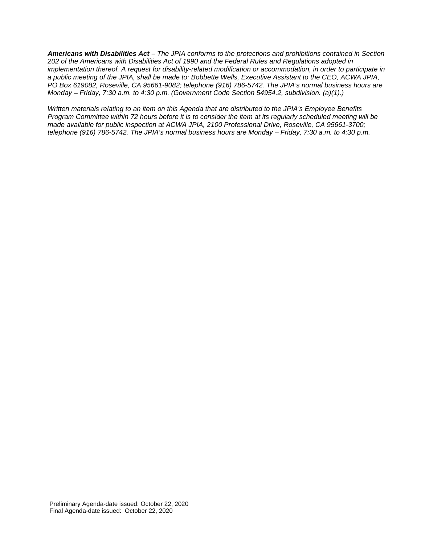*Americans with Disabilities Act – The JPIA conforms to the protections and prohibitions contained in Section 202 of the Americans with Disabilities Act of 1990 and the Federal Rules and Regulations adopted in implementation thereof. A request for disability-related modification or accommodation, in order to participate in a public meeting of the JPIA, shall be made to: Bobbette Wells, Executive Assistant to the CEO, ACWA JPIA, PO Box 619082, Roseville, CA 95661-9082; telephone (916) 786-5742. The JPIA's normal business hours are Monday – Friday, 7:30 a.m. to 4:30 p.m. (Government Code Section 54954.2, subdivision. (a)(1).)*

*Written materials relating to an item on this Agenda that are distributed to the JPIA's Employee Benefits Program Committee within 72 hours before it is to consider the item at its regularly scheduled meeting will be made available for public inspection at ACWA JPIA, 2100 Professional Drive, Roseville, CA 95661-3700; telephone (916) 786-5742. The JPIA's normal business hours are Monday – Friday, 7:30 a.m. to 4:30 p.m.*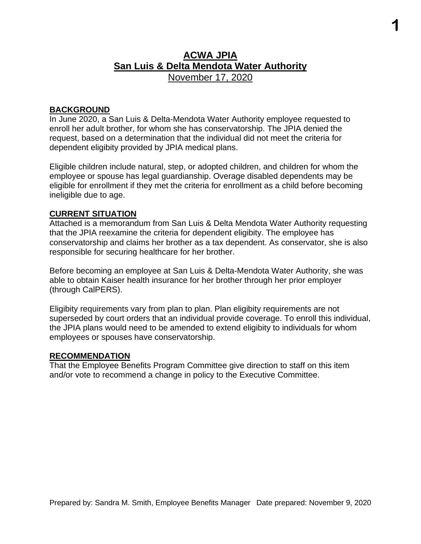## **ACWA JPIA San Luis & Delta Mendota Water Authority** November 17, 2020

**1**

#### **BACKGROUND**

In June 2020, a San Luis & Delta-Mendota Water Authority employee requested to enroll her adult brother, for whom she has conservatorship. The JPIA denied the request, based on a determination that the individual did not meet the criteria for dependent eligibity provided by JPIA medical plans.

Eligible children include natural, step, or adopted children, and children for whom the employee or spouse has legal guardianship. Overage disabled dependents may be eligible for enrollment if they met the criteria for enrollment as a child before becoming ineligible due to age.

#### **CURRENT SITUATION**

Attached is a memorandum from San Luis & Delta Mendota Water Authority requesting that the JPIA reexamine the criteria for dependent eligibity. The employee has conservatorship and claims her brother as a tax dependent. As conservator, she is also responsible for securing healthcare for her brother.

Before becoming an employee at San Luis & Delta-Mendota Water Authority, she was able to obtain Kaiser health insurance for her brother through her prior employer (through CalPERS).

Eligibity requirements vary from plan to plan. Plan eligibity requirements are not superseded by court orders that an individual provide coverage. To enroll this individual, the JPIA plans would need to be amended to extend eligibity to individuals for whom employees or spouses have conservatorship.

#### **RECOMMENDATION**

That the Employee Benefits Program Committee give direction to staff on this item and/or vote to recommend a change in policy to the Executive Committee.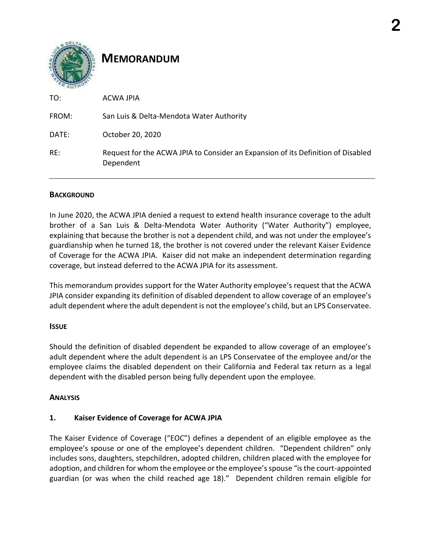## **MEMORANDUM**

| TO:   | <b>ACWA JPIA</b>                                                                              |
|-------|-----------------------------------------------------------------------------------------------|
| FROM: | San Luis & Delta-Mendota Water Authority                                                      |
| DATE: | October 20, 2020                                                                              |
| RE:   | Request for the ACWA JPIA to Consider an Expansion of its Definition of Disabled<br>Dependent |

#### **BACKGROUND**

In June 2020, the ACWA JPIA denied a request to extend health insurance coverage to the adult brother of a San Luis & Delta-Mendota Water Authority ("Water Authority") employee, explaining that because the brother is not a dependent child, and was not under the employee's guardianship when he turned 18, the brother is not covered under the relevant Kaiser Evidence of Coverage for the ACWA JPIA. Kaiser did not make an independent determination regarding coverage, but instead deferred to the ACWA JPIA for its assessment.

This memorandum provides support for the Water Authority employee's request that the ACWA JPIA consider expanding its definition of disabled dependent to allow coverage of an employee's adult dependent where the adult dependent is not the employee's child, but an LPS Conservatee.

#### **ISSUE**

Should the definition of disabled dependent be expanded to allow coverage of an employee's adult dependent where the adult dependent is an LPS Conservatee of the employee and/or the employee claims the disabled dependent on their California and Federal tax return as a legal dependent with the disabled person being fully dependent upon the employee.

#### **ANALYSIS**

## **1. Kaiser Evidence of Coverage for ACWA JPIA**

The Kaiser Evidence of Coverage ("EOC") defines a dependent of an eligible employee as the employee's spouse or one of the employee's dependent children. "Dependent children" only includes sons, daughters, stepchildren, adopted children, children placed with the employee for adoption, and children for whom the employee or the employee's spouse "is the court-appointed guardian (or was when the child reached age 18)." Dependent children remain eligible for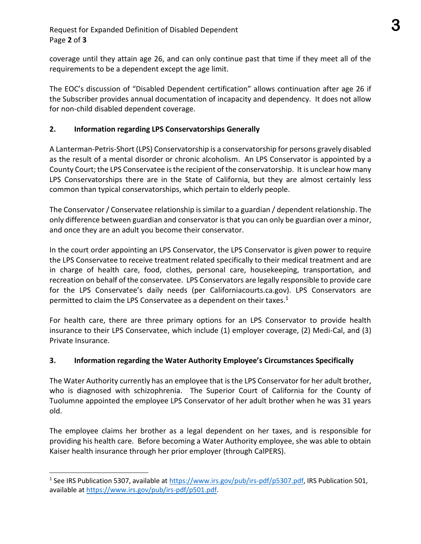coverage until they attain age 26, and can only continue past that time if they meet all of the requirements to be a dependent except the age limit.

The EOC's discussion of "Disabled Dependent certification" allows continuation after age 26 if the Subscriber provides annual documentation of incapacity and dependency. It does not allow for non-child disabled dependent coverage.

#### **2. Information regarding LPS Conservatorships Generally**

A Lanterman-Petris-Short (LPS) Conservatorship is a conservatorship for persons gravely disabled as the result of a mental disorder or chronic alcoholism. An LPS Conservator is appointed by a County Court; the LPS Conservatee is the recipient of the conservatorship. It is unclear how many LPS Conservatorships there are in the State of California, but they are almost certainly less common than typical conservatorships, which pertain to elderly people.

The Conservator / Conservatee relationship is similar to a guardian / dependent relationship. The only difference between guardian and conservator is that you can only be guardian over a minor, and once they are an adult you become their conservator.

In the court order appointing an LPS Conservator, the LPS Conservator is given power to require the LPS Conservatee to receive treatment related specifically to their medical treatment and are in charge of health care, food, clothes, personal care, housekeeping, transportation, and recreation on behalf of the conservatee. LPS Conservators are legally responsible to provide care for the LPS Conservatee's daily needs (per Californiacourts.ca.gov). LPS Conservators are permitted to claim the LPS Conservatee as a dependent on their taxes.<sup>1</sup>

For health care, there are three primary options for an LPS Conservator to provide health insurance to their LPS Conservatee, which include (1) employer coverage, (2) Medi-Cal, and (3) Private Insurance.

#### **3. Information regarding the Water Authority Employee's Circumstances Specifically**

The Water Authority currently has an employee that is the LPS Conservator for her adult brother, who is diagnosed with schizophrenia. The Superior Court of California for the County of Tuolumne appointed the employee LPS Conservator of her adult brother when he was 31 years old.

The employee claims her brother as a legal dependent on her taxes, and is responsible for providing his health care. Before becoming a Water Authority employee, she was able to obtain Kaiser health insurance through her prior employer (through CalPERS).

<sup>&</sup>lt;sup>1</sup> See IRS Publication 5307, available at [https://www.irs.gov/pub/irs-pdf/p5307.pdf,](https://www.irs.gov/pub/irs-pdf/p5307.pdf) IRS Publication 501, available a[t https://www.irs.gov/pub/irs-pdf/p501.pdf.](https://www.irs.gov/pub/irs-pdf/p501.pdf)